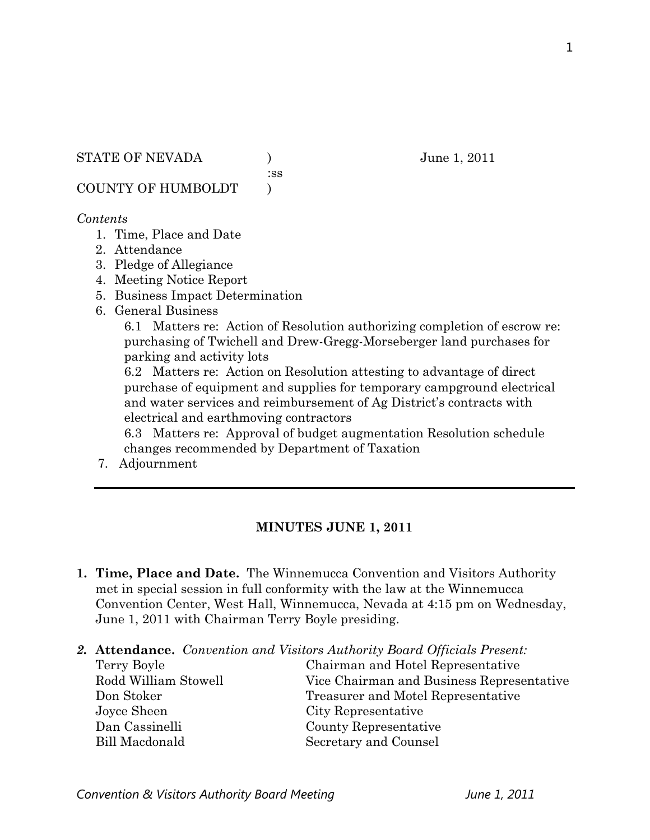:ss

COUNTY OF HUMBOLDT )

#### *Contents*

- 1. Time, Place and Date
- 2. Attendance
- 3. Pledge of Allegiance
- 4. Meeting Notice Report
- 5. Business Impact Determination
- 6. General Business

6.1 Matters re: Action of Resolution authorizing completion of escrow re: purchasing of Twichell and Drew-Gregg-Morseberger land purchases for parking and activity lots

6.2 Matters re: Action on Resolution attesting to advantage of direct purchase of equipment and supplies for temporary campground electrical and water services and reimbursement of Ag District's contracts with electrical and earthmoving contractors

6.3 Matters re: Approval of budget augmentation Resolution schedule changes recommended by Department of Taxation

7. Adjournment

## **MINUTES JUNE 1, 2011**

- **1. Time, Place and Date.** The Winnemucca Convention and Visitors Authority met in special session in full conformity with the law at the Winnemucca Convention Center, West Hall, Winnemucca, Nevada at 4:15 pm on Wednesday, June 1, 2011 with Chairman Terry Boyle presiding.
- *2.* **Attendance.** *Convention and Visitors Authority Board Officials Present:*

Terry Boyle Chairman and Hotel Representative Rodd William Stowell Vice Chairman and Business Representative Don Stoker Treasurer and Motel Representative Joyce Sheen City Representative Dan Cassinelli County Representative Bill Macdonald Secretary and Counsel

1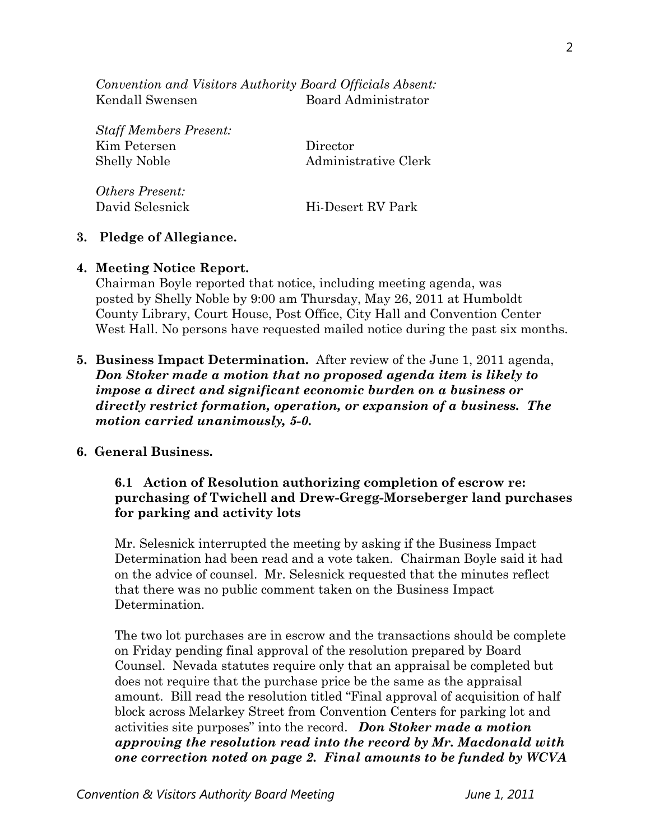*Convention and Visitors Authority Board Officials Absent:*  Kendall Swensen Board Administrator

*Staff Members Present:*  Kim Petersen Director Shelly Noble Administrative Clerk *Others Present:* 

David Selesnick Hi-Desert RV Park

**3. Pledge of Allegiance.** 

#### **4. Meeting Notice Report.**

Chairman Boyle reported that notice, including meeting agenda, was posted by Shelly Noble by 9:00 am Thursday, May 26, 2011 at Humboldt County Library, Court House, Post Office, City Hall and Convention Center West Hall. No persons have requested mailed notice during the past six months.

**5. Business Impact Determination.** After review of the June 1, 2011 agenda, *Don Stoker made a motion that no proposed agenda item is likely to impose a direct and significant economic burden on a business or directly restrict formation, operation, or expansion of a business. The motion carried unanimously, 5-0.* 

#### **6. General Business.**

#### **6.1 Action of Resolution authorizing completion of escrow re: purchasing of Twichell and Drew-Gregg-Morseberger land purchases for parking and activity lots**

Mr. Selesnick interrupted the meeting by asking if the Business Impact Determination had been read and a vote taken. Chairman Boyle said it had on the advice of counsel. Mr. Selesnick requested that the minutes reflect that there was no public comment taken on the Business Impact Determination.

The two lot purchases are in escrow and the transactions should be complete on Friday pending final approval of the resolution prepared by Board Counsel. Nevada statutes require only that an appraisal be completed but does not require that the purchase price be the same as the appraisal amount. Bill read the resolution titled "Final approval of acquisition of half block across Melarkey Street from Convention Centers for parking lot and activities site purposes" into the record. *Don Stoker made a motion approving the resolution read into the record by Mr. Macdonald with one correction noted on page 2. Final amounts to be funded by WCVA*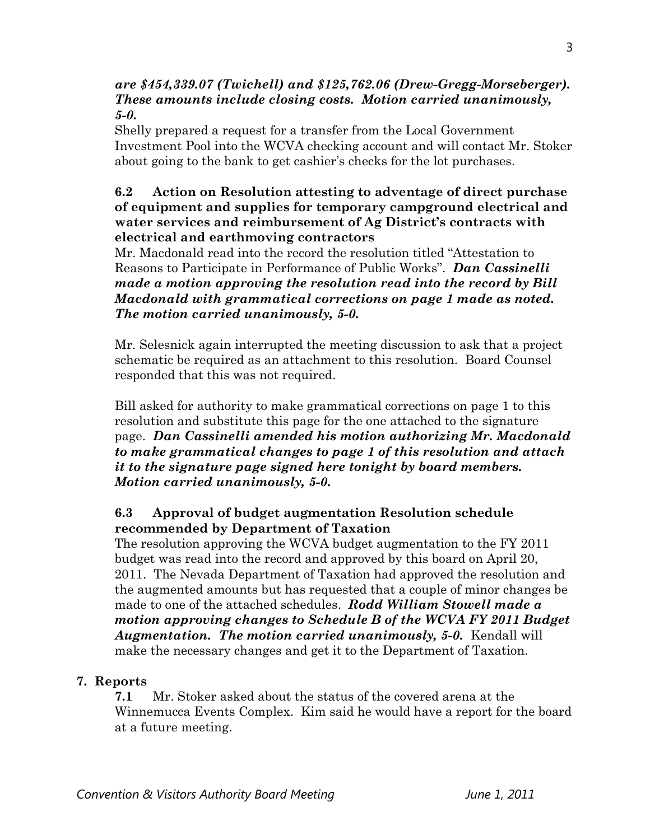### *are \$454,339.07 (Twichell) and \$125,762.06 (Drew-Gregg-Morseberger). These amounts include closing costs. Motion carried unanimously, 5-0.*

Shelly prepared a request for a transfer from the Local Government Investment Pool into the WCVA checking account and will contact Mr. Stoker about going to the bank to get cashier's checks for the lot purchases.

## **6.2 Action on Resolution attesting to adventage of direct purchase of equipment and supplies for temporary campground electrical and water services and reimbursement of Ag District's contracts with electrical and earthmoving contractors**

Mr. Macdonald read into the record the resolution titled "Attestation to Reasons to Participate in Performance of Public Works". *Dan Cassinelli made a motion approving the resolution read into the record by Bill Macdonald with grammatical corrections on page 1 made as noted. The motion carried unanimously, 5-0.* 

Mr. Selesnick again interrupted the meeting discussion to ask that a project schematic be required as an attachment to this resolution. Board Counsel responded that this was not required.

Bill asked for authority to make grammatical corrections on page 1 to this resolution and substitute this page for the one attached to the signature page. *Dan Cassinelli amended his motion authorizing Mr. Macdonald to make grammatical changes to page 1 of this resolution and attach it to the signature page signed here tonight by board members. Motion carried unanimously, 5-0.* 

# **6.3 Approval of budget augmentation Resolution schedule recommended by Department of Taxation**

The resolution approving the WCVA budget augmentation to the FY 2011 budget was read into the record and approved by this board on April 20, 2011. The Nevada Department of Taxation had approved the resolution and the augmented amounts but has requested that a couple of minor changes be made to one of the attached schedules. *Rodd William Stowell made a motion approving changes to Schedule B of the WCVA FY 2011 Budget Augmentation. The motion carried unanimously, 5-0.* Kendall will make the necessary changes and get it to the Department of Taxation.

# **7. Reports**

 **7.1** Mr. Stoker asked about the status of the covered arena at the Winnemucca Events Complex. Kim said he would have a report for the board at a future meeting.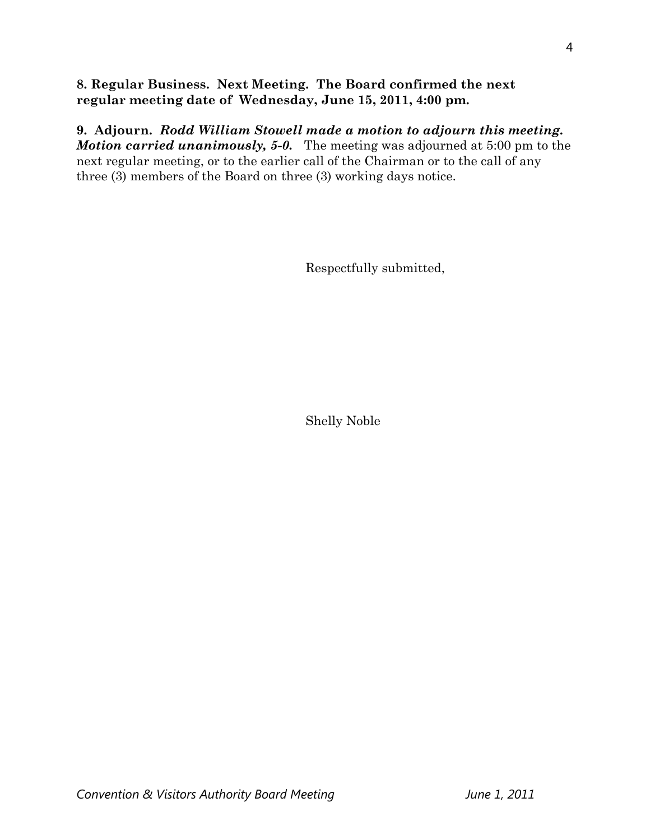### **8. Regular Business. Next Meeting. The Board confirmed the next regular meeting date of Wednesday, June 15, 2011, 4:00 pm.**

**9. Adjourn.** *Rodd William Stowell made a motion to adjourn this meeting. Motion carried unanimously, 5-0.* The meeting was adjourned at 5:00 pm to the next regular meeting, or to the earlier call of the Chairman or to the call of any three (3) members of the Board on three (3) working days notice.

Respectfully submitted,

Shelly Noble